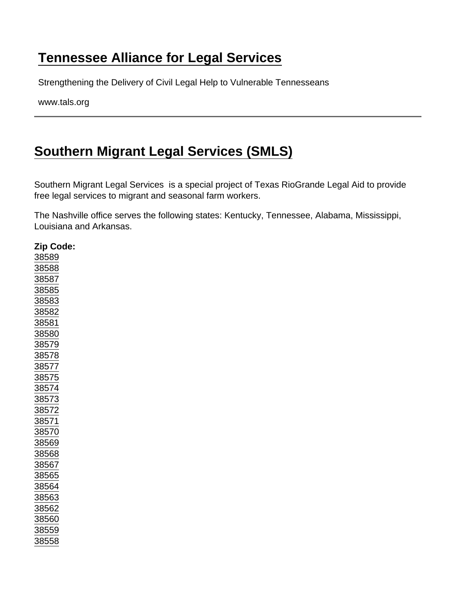## [Tennessee Alliance for Legal Services](https://www.tals.org/)

Strengthening the Delivery of Civil Legal Help to Vulnerable Tennesseans

www.tals.org

## [Southern Migrant Legal Services \(SMLS\)](https://www.tals.org/node/367/southern-migrant-legal-services-smls)

Southern Migrant Legal Services is a special project of Texas RioGrande Legal Aid to provide free legal services to migrant and seasonal farm workers.

The Nashville office serves the following states: Kentucky, Tennessee, Alabama, Mississippi, Louisiana and Arkansas.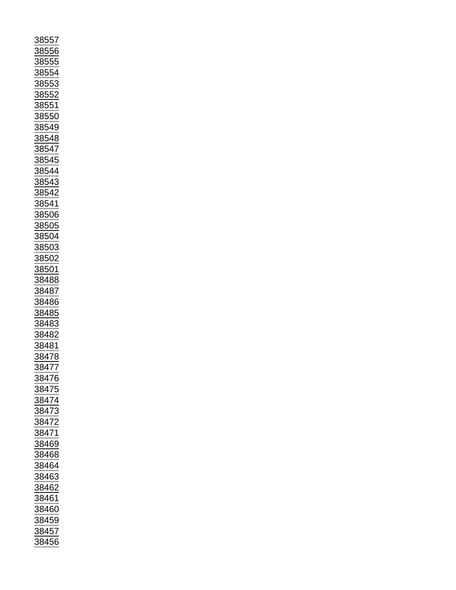| <u>88557</u>                                                         |
|----------------------------------------------------------------------|
|                                                                      |
| 88556                                                                |
|                                                                      |
|                                                                      |
| <u>3855</u>                                                          |
|                                                                      |
|                                                                      |
|                                                                      |
|                                                                      |
| 88554<br>88553                                                       |
| $\frac{1}{88552}$                                                    |
|                                                                      |
|                                                                      |
| <u>8855</u>                                                          |
|                                                                      |
|                                                                      |
|                                                                      |
|                                                                      |
|                                                                      |
|                                                                      |
|                                                                      |
|                                                                      |
|                                                                      |
|                                                                      |
|                                                                      |
|                                                                      |
|                                                                      |
|                                                                      |
| 38550<br>38549<br>38548<br>38545<br>38544<br>38543<br>38543<br>38542 |
|                                                                      |
|                                                                      |
|                                                                      |
|                                                                      |
| $\frac{38541}{38506}$ $\frac{38505}{38504}$                          |
|                                                                      |
|                                                                      |
|                                                                      |
|                                                                      |
|                                                                      |
|                                                                      |
|                                                                      |
|                                                                      |
| 38503                                                                |
|                                                                      |
| <u>38502</u>                                                         |
|                                                                      |
| <u>38501</u>                                                         |
|                                                                      |
|                                                                      |
| 38488                                                                |
|                                                                      |
|                                                                      |
|                                                                      |
|                                                                      |
|                                                                      |
|                                                                      |
|                                                                      |
|                                                                      |
|                                                                      |
|                                                                      |
|                                                                      |
| 38487<br>38486<br>38485<br>38483<br>38483                            |
| 38482                                                                |
|                                                                      |
| 38481                                                                |
|                                                                      |
| 38478                                                                |
|                                                                      |
|                                                                      |
| $\frac{1}{3847}$<br>$\overline{1}$                                   |
|                                                                      |
| $\frac{2}{1}$ 8476                                                   |
|                                                                      |
|                                                                      |
|                                                                      |
|                                                                      |
|                                                                      |
|                                                                      |
| 38475<br>38474<br>38473                                              |
|                                                                      |
|                                                                      |
|                                                                      |
|                                                                      |
|                                                                      |
|                                                                      |
|                                                                      |
|                                                                      |
| $\frac{38472}{38471}$ $\frac{38471}{38469}$                          |
|                                                                      |
| 38464                                                                |
|                                                                      |
|                                                                      |
|                                                                      |
|                                                                      |
|                                                                      |
|                                                                      |
| $\frac{33151}{38463}$<br>38462<br>38461                              |
|                                                                      |
| 38460                                                                |
|                                                                      |
|                                                                      |
|                                                                      |
| 38459<br>38459<br>38457                                              |
| 38456                                                                |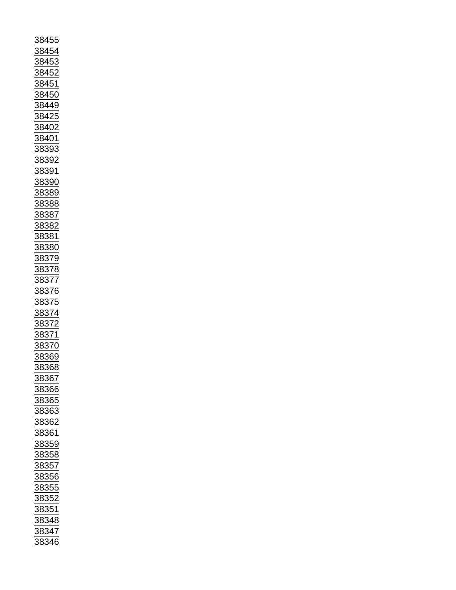| 38455                                                             |
|-------------------------------------------------------------------|
|                                                                   |
| 38454                                                             |
|                                                                   |
| 38453                                                             |
|                                                                   |
|                                                                   |
|                                                                   |
|                                                                   |
|                                                                   |
|                                                                   |
|                                                                   |
| <u>88449</u>                                                      |
|                                                                   |
|                                                                   |
|                                                                   |
|                                                                   |
| $\frac{38425}{38402}$ $\frac{38402}{38393}$ $\frac{38393}{28393}$ |
|                                                                   |
|                                                                   |
|                                                                   |
|                                                                   |
| 38392                                                             |
|                                                                   |
|                                                                   |
|                                                                   |
| 38391<br>38390                                                    |
|                                                                   |
| 38389                                                             |
|                                                                   |
| 38388                                                             |
|                                                                   |
|                                                                   |
|                                                                   |
|                                                                   |
|                                                                   |
|                                                                   |
|                                                                   |
| $\frac{38387}{38382}$ $\frac{38382}{38381}$ $\frac{38380}{3837}$  |
|                                                                   |
|                                                                   |
|                                                                   |
|                                                                   |
|                                                                   |
|                                                                   |
|                                                                   |
|                                                                   |
|                                                                   |
|                                                                   |
|                                                                   |
| 3836<br>38379<br>38378<br>38377<br>38376<br>38376                 |
| $\frac{3837}{2255}$                                               |
|                                                                   |
|                                                                   |
|                                                                   |
|                                                                   |
|                                                                   |
|                                                                   |
|                                                                   |
| $\frac{38374}{38372}$ $\frac{38372}{38371}$                       |
| 38369                                                             |
|                                                                   |
| 38368                                                             |
|                                                                   |
| <u>38367</u>                                                      |
|                                                                   |
| <u>38366</u>                                                      |
|                                                                   |
| 38365                                                             |
|                                                                   |
| 38363                                                             |
|                                                                   |
|                                                                   |
|                                                                   |
| 38362<br>38361                                                    |
|                                                                   |
| 38359                                                             |
|                                                                   |
| 38358                                                             |
|                                                                   |
| 38357                                                             |
|                                                                   |
| <u>38356</u>                                                      |
|                                                                   |
|                                                                   |
|                                                                   |
|                                                                   |
| $\frac{1}{38355}$ $\frac{38352}{38352}$                           |
| $\frac{1}{38351}$                                                 |
|                                                                   |
|                                                                   |
|                                                                   |
| $\frac{1}{38348}$<br>$\frac{38347}{38347}$<br>38346               |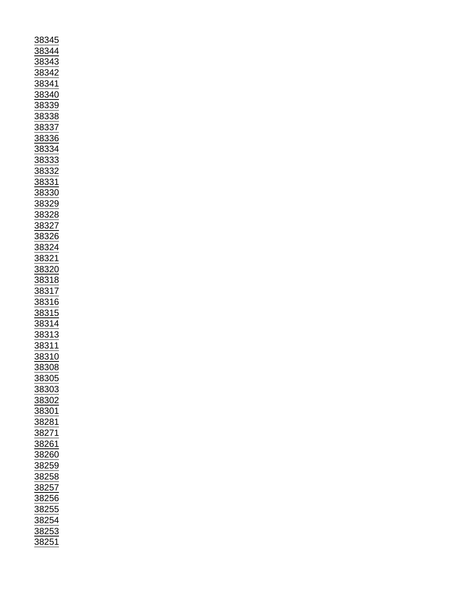| 38345                                                                                                                                                                                                                                                                                                                                                                                                                                                                                                                                               |
|-----------------------------------------------------------------------------------------------------------------------------------------------------------------------------------------------------------------------------------------------------------------------------------------------------------------------------------------------------------------------------------------------------------------------------------------------------------------------------------------------------------------------------------------------------|
|                                                                                                                                                                                                                                                                                                                                                                                                                                                                                                                                                     |
| <u>38344</u>                                                                                                                                                                                                                                                                                                                                                                                                                                                                                                                                        |
|                                                                                                                                                                                                                                                                                                                                                                                                                                                                                                                                                     |
| 38343<br>38342<br>38341                                                                                                                                                                                                                                                                                                                                                                                                                                                                                                                             |
|                                                                                                                                                                                                                                                                                                                                                                                                                                                                                                                                                     |
|                                                                                                                                                                                                                                                                                                                                                                                                                                                                                                                                                     |
|                                                                                                                                                                                                                                                                                                                                                                                                                                                                                                                                                     |
|                                                                                                                                                                                                                                                                                                                                                                                                                                                                                                                                                     |
|                                                                                                                                                                                                                                                                                                                                                                                                                                                                                                                                                     |
|                                                                                                                                                                                                                                                                                                                                                                                                                                                                                                                                                     |
| 38340                                                                                                                                                                                                                                                                                                                                                                                                                                                                                                                                               |
|                                                                                                                                                                                                                                                                                                                                                                                                                                                                                                                                                     |
| <u>38339</u>                                                                                                                                                                                                                                                                                                                                                                                                                                                                                                                                        |
|                                                                                                                                                                                                                                                                                                                                                                                                                                                                                                                                                     |
|                                                                                                                                                                                                                                                                                                                                                                                                                                                                                                                                                     |
| 38338<br>38337<br>38336<br>38336                                                                                                                                                                                                                                                                                                                                                                                                                                                                                                                    |
|                                                                                                                                                                                                                                                                                                                                                                                                                                                                                                                                                     |
|                                                                                                                                                                                                                                                                                                                                                                                                                                                                                                                                                     |
|                                                                                                                                                                                                                                                                                                                                                                                                                                                                                                                                                     |
|                                                                                                                                                                                                                                                                                                                                                                                                                                                                                                                                                     |
|                                                                                                                                                                                                                                                                                                                                                                                                                                                                                                                                                     |
|                                                                                                                                                                                                                                                                                                                                                                                                                                                                                                                                                     |
| 38334                                                                                                                                                                                                                                                                                                                                                                                                                                                                                                                                               |
|                                                                                                                                                                                                                                                                                                                                                                                                                                                                                                                                                     |
|                                                                                                                                                                                                                                                                                                                                                                                                                                                                                                                                                     |
|                                                                                                                                                                                                                                                                                                                                                                                                                                                                                                                                                     |
|                                                                                                                                                                                                                                                                                                                                                                                                                                                                                                                                                     |
|                                                                                                                                                                                                                                                                                                                                                                                                                                                                                                                                                     |
| 38333<br>38332<br>38331<br>------                                                                                                                                                                                                                                                                                                                                                                                                                                                                                                                   |
|                                                                                                                                                                                                                                                                                                                                                                                                                                                                                                                                                     |
| 38330                                                                                                                                                                                                                                                                                                                                                                                                                                                                                                                                               |
|                                                                                                                                                                                                                                                                                                                                                                                                                                                                                                                                                     |
|                                                                                                                                                                                                                                                                                                                                                                                                                                                                                                                                                     |
| $\frac{53329}{38328}$<br>$\frac{38328}{38327}$<br>$\frac{38326}{38324}$                                                                                                                                                                                                                                                                                                                                                                                                                                                                             |
|                                                                                                                                                                                                                                                                                                                                                                                                                                                                                                                                                     |
|                                                                                                                                                                                                                                                                                                                                                                                                                                                                                                                                                     |
|                                                                                                                                                                                                                                                                                                                                                                                                                                                                                                                                                     |
|                                                                                                                                                                                                                                                                                                                                                                                                                                                                                                                                                     |
|                                                                                                                                                                                                                                                                                                                                                                                                                                                                                                                                                     |
|                                                                                                                                                                                                                                                                                                                                                                                                                                                                                                                                                     |
|                                                                                                                                                                                                                                                                                                                                                                                                                                                                                                                                                     |
|                                                                                                                                                                                                                                                                                                                                                                                                                                                                                                                                                     |
|                                                                                                                                                                                                                                                                                                                                                                                                                                                                                                                                                     |
| <u>38321</u>                                                                                                                                                                                                                                                                                                                                                                                                                                                                                                                                        |
|                                                                                                                                                                                                                                                                                                                                                                                                                                                                                                                                                     |
|                                                                                                                                                                                                                                                                                                                                                                                                                                                                                                                                                     |
|                                                                                                                                                                                                                                                                                                                                                                                                                                                                                                                                                     |
|                                                                                                                                                                                                                                                                                                                                                                                                                                                                                                                                                     |
|                                                                                                                                                                                                                                                                                                                                                                                                                                                                                                                                                     |
|                                                                                                                                                                                                                                                                                                                                                                                                                                                                                                                                                     |
| $\frac{38320}{38318}$                                                                                                                                                                                                                                                                                                                                                                                                                                                                                                                               |
|                                                                                                                                                                                                                                                                                                                                                                                                                                                                                                                                                     |
|                                                                                                                                                                                                                                                                                                                                                                                                                                                                                                                                                     |
|                                                                                                                                                                                                                                                                                                                                                                                                                                                                                                                                                     |
|                                                                                                                                                                                                                                                                                                                                                                                                                                                                                                                                                     |
|                                                                                                                                                                                                                                                                                                                                                                                                                                                                                                                                                     |
|                                                                                                                                                                                                                                                                                                                                                                                                                                                                                                                                                     |
|                                                                                                                                                                                                                                                                                                                                                                                                                                                                                                                                                     |
|                                                                                                                                                                                                                                                                                                                                                                                                                                                                                                                                                     |
|                                                                                                                                                                                                                                                                                                                                                                                                                                                                                                                                                     |
|                                                                                                                                                                                                                                                                                                                                                                                                                                                                                                                                                     |
|                                                                                                                                                                                                                                                                                                                                                                                                                                                                                                                                                     |
|                                                                                                                                                                                                                                                                                                                                                                                                                                                                                                                                                     |
| $\frac{38318}{38317} \newline \underline{38316} \newline \underline{38316} \newline \underline{38315} \newline \underline{38314} \newline \underline{38313} \newline \underline{38313} \newline \underline{38311} \newline \underline{38311} \newline \underline{38311} \newline \underline{38311} \newline \underline{38311} \newline \underline{38311} \newline \underline{38311} \newline \underline{38311} \newline \underline{38311} \newline \underline{38311} \newline \underline{38311} \newline \underline{38311} \newline \underline{383$ |
| 38310                                                                                                                                                                                                                                                                                                                                                                                                                                                                                                                                               |
|                                                                                                                                                                                                                                                                                                                                                                                                                                                                                                                                                     |
| 38308                                                                                                                                                                                                                                                                                                                                                                                                                                                                                                                                               |
|                                                                                                                                                                                                                                                                                                                                                                                                                                                                                                                                                     |
| 38305                                                                                                                                                                                                                                                                                                                                                                                                                                                                                                                                               |
|                                                                                                                                                                                                                                                                                                                                                                                                                                                                                                                                                     |
| 38303                                                                                                                                                                                                                                                                                                                                                                                                                                                                                                                                               |
|                                                                                                                                                                                                                                                                                                                                                                                                                                                                                                                                                     |
|                                                                                                                                                                                                                                                                                                                                                                                                                                                                                                                                                     |
| 38302                                                                                                                                                                                                                                                                                                                                                                                                                                                                                                                                               |
|                                                                                                                                                                                                                                                                                                                                                                                                                                                                                                                                                     |
| 38301                                                                                                                                                                                                                                                                                                                                                                                                                                                                                                                                               |
|                                                                                                                                                                                                                                                                                                                                                                                                                                                                                                                                                     |
| 38281                                                                                                                                                                                                                                                                                                                                                                                                                                                                                                                                               |
|                                                                                                                                                                                                                                                                                                                                                                                                                                                                                                                                                     |
| 38271                                                                                                                                                                                                                                                                                                                                                                                                                                                                                                                                               |
|                                                                                                                                                                                                                                                                                                                                                                                                                                                                                                                                                     |
| 38261                                                                                                                                                                                                                                                                                                                                                                                                                                                                                                                                               |
|                                                                                                                                                                                                                                                                                                                                                                                                                                                                                                                                                     |
| 38260                                                                                                                                                                                                                                                                                                                                                                                                                                                                                                                                               |
|                                                                                                                                                                                                                                                                                                                                                                                                                                                                                                                                                     |
|                                                                                                                                                                                                                                                                                                                                                                                                                                                                                                                                                     |
| 38259                                                                                                                                                                                                                                                                                                                                                                                                                                                                                                                                               |
|                                                                                                                                                                                                                                                                                                                                                                                                                                                                                                                                                     |
| 38258                                                                                                                                                                                                                                                                                                                                                                                                                                                                                                                                               |
|                                                                                                                                                                                                                                                                                                                                                                                                                                                                                                                                                     |
|                                                                                                                                                                                                                                                                                                                                                                                                                                                                                                                                                     |
|                                                                                                                                                                                                                                                                                                                                                                                                                                                                                                                                                     |
| 38257<br>38256                                                                                                                                                                                                                                                                                                                                                                                                                                                                                                                                      |
|                                                                                                                                                                                                                                                                                                                                                                                                                                                                                                                                                     |
| $\frac{1}{38255}$                                                                                                                                                                                                                                                                                                                                                                                                                                                                                                                                   |
|                                                                                                                                                                                                                                                                                                                                                                                                                                                                                                                                                     |
| 38254                                                                                                                                                                                                                                                                                                                                                                                                                                                                                                                                               |
|                                                                                                                                                                                                                                                                                                                                                                                                                                                                                                                                                     |
|                                                                                                                                                                                                                                                                                                                                                                                                                                                                                                                                                     |
| 38253<br>38251                                                                                                                                                                                                                                                                                                                                                                                                                                                                                                                                      |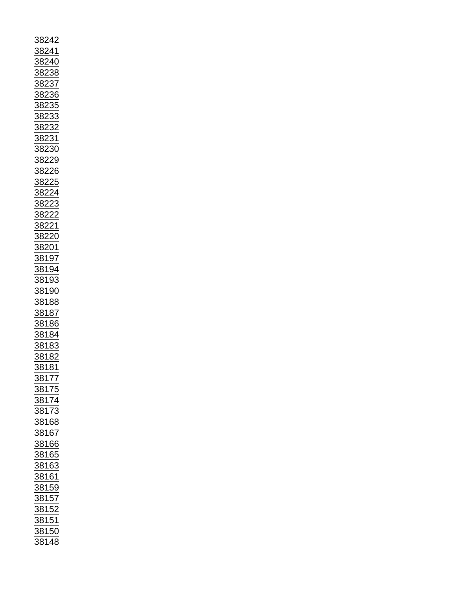| 38242                                                                                                                                                                                                                                                                                                            |
|------------------------------------------------------------------------------------------------------------------------------------------------------------------------------------------------------------------------------------------------------------------------------------------------------------------|
| $\frac{82}{5}$<br>$\frac{41}{}$                                                                                                                                                                                                                                                                                  |
|                                                                                                                                                                                                                                                                                                                  |
|                                                                                                                                                                                                                                                                                                                  |
|                                                                                                                                                                                                                                                                                                                  |
|                                                                                                                                                                                                                                                                                                                  |
|                                                                                                                                                                                                                                                                                                                  |
|                                                                                                                                                                                                                                                                                                                  |
|                                                                                                                                                                                                                                                                                                                  |
|                                                                                                                                                                                                                                                                                                                  |
|                                                                                                                                                                                                                                                                                                                  |
|                                                                                                                                                                                                                                                                                                                  |
|                                                                                                                                                                                                                                                                                                                  |
|                                                                                                                                                                                                                                                                                                                  |
|                                                                                                                                                                                                                                                                                                                  |
|                                                                                                                                                                                                                                                                                                                  |
|                                                                                                                                                                                                                                                                                                                  |
|                                                                                                                                                                                                                                                                                                                  |
|                                                                                                                                                                                                                                                                                                                  |
|                                                                                                                                                                                                                                                                                                                  |
|                                                                                                                                                                                                                                                                                                                  |
|                                                                                                                                                                                                                                                                                                                  |
|                                                                                                                                                                                                                                                                                                                  |
|                                                                                                                                                                                                                                                                                                                  |
|                                                                                                                                                                                                                                                                                                                  |
|                                                                                                                                                                                                                                                                                                                  |
|                                                                                                                                                                                                                                                                                                                  |
| 38240<br>38238<br>38237<br>38235<br>38233<br>38233<br>38223<br>382229<br>382229<br>382229<br>382225<br>382225<br>382225                                                                                                                                                                                          |
|                                                                                                                                                                                                                                                                                                                  |
|                                                                                                                                                                                                                                                                                                                  |
| 38222<br>38221<br>38220<br>38201<br>38197<br>38194<br>38193                                                                                                                                                                                                                                                      |
|                                                                                                                                                                                                                                                                                                                  |
|                                                                                                                                                                                                                                                                                                                  |
|                                                                                                                                                                                                                                                                                                                  |
|                                                                                                                                                                                                                                                                                                                  |
|                                                                                                                                                                                                                                                                                                                  |
|                                                                                                                                                                                                                                                                                                                  |
|                                                                                                                                                                                                                                                                                                                  |
|                                                                                                                                                                                                                                                                                                                  |
|                                                                                                                                                                                                                                                                                                                  |
|                                                                                                                                                                                                                                                                                                                  |
|                                                                                                                                                                                                                                                                                                                  |
|                                                                                                                                                                                                                                                                                                                  |
|                                                                                                                                                                                                                                                                                                                  |
|                                                                                                                                                                                                                                                                                                                  |
| $\frac{1}{38190}$ $\frac{38188}{1}$                                                                                                                                                                                                                                                                              |
| $\frac{38187}{ }$                                                                                                                                                                                                                                                                                                |
|                                                                                                                                                                                                                                                                                                                  |
|                                                                                                                                                                                                                                                                                                                  |
|                                                                                                                                                                                                                                                                                                                  |
|                                                                                                                                                                                                                                                                                                                  |
|                                                                                                                                                                                                                                                                                                                  |
| $\frac{38186}{38184}$ $\frac{38184}{38183}$                                                                                                                                                                                                                                                                      |
| 38182                                                                                                                                                                                                                                                                                                            |
|                                                                                                                                                                                                                                                                                                                  |
| <u>38181</u>                                                                                                                                                                                                                                                                                                     |
|                                                                                                                                                                                                                                                                                                                  |
|                                                                                                                                                                                                                                                                                                                  |
|                                                                                                                                                                                                                                                                                                                  |
|                                                                                                                                                                                                                                                                                                                  |
|                                                                                                                                                                                                                                                                                                                  |
|                                                                                                                                                                                                                                                                                                                  |
|                                                                                                                                                                                                                                                                                                                  |
|                                                                                                                                                                                                                                                                                                                  |
|                                                                                                                                                                                                                                                                                                                  |
|                                                                                                                                                                                                                                                                                                                  |
|                                                                                                                                                                                                                                                                                                                  |
|                                                                                                                                                                                                                                                                                                                  |
|                                                                                                                                                                                                                                                                                                                  |
|                                                                                                                                                                                                                                                                                                                  |
|                                                                                                                                                                                                                                                                                                                  |
|                                                                                                                                                                                                                                                                                                                  |
|                                                                                                                                                                                                                                                                                                                  |
|                                                                                                                                                                                                                                                                                                                  |
|                                                                                                                                                                                                                                                                                                                  |
|                                                                                                                                                                                                                                                                                                                  |
|                                                                                                                                                                                                                                                                                                                  |
|                                                                                                                                                                                                                                                                                                                  |
|                                                                                                                                                                                                                                                                                                                  |
|                                                                                                                                                                                                                                                                                                                  |
|                                                                                                                                                                                                                                                                                                                  |
|                                                                                                                                                                                                                                                                                                                  |
| $\begin{array}{r} \hline 38177 \\ 38175 \\ 38174 \\ 38173 \\ 38168 \\ 38167 \\ 38165 \\ 38165 \\ 38163 \\ 38161 \\ 38159 \\ 38152 \\ 38152 \\ 38152 \\ 38150 \\ 38150 \\ 38150 \\ 38150 \\ 38150 \\ 38150 \\ 38150 \\ 38150 \\ 38150 \\ 38150 \\ 38150 \\ 38150 \\ 38150 \\ 38150 \\ 38150 \\ 38150 \\$<br>38148 |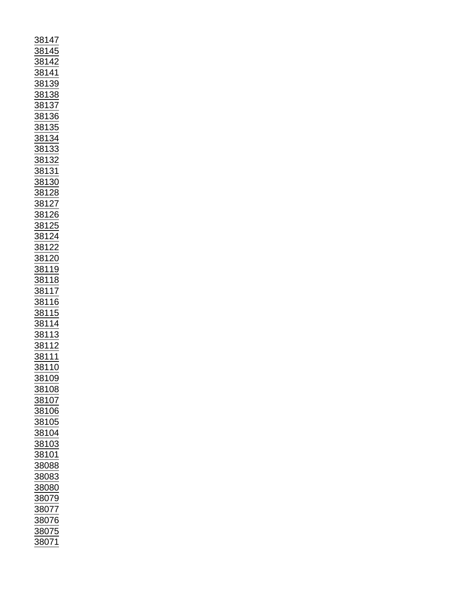| <u>38147</u>                                                                                                                                                                                                                                                                                                                                                                                                                                      |  |
|---------------------------------------------------------------------------------------------------------------------------------------------------------------------------------------------------------------------------------------------------------------------------------------------------------------------------------------------------------------------------------------------------------------------------------------------------|--|
|                                                                                                                                                                                                                                                                                                                                                                                                                                                   |  |
|                                                                                                                                                                                                                                                                                                                                                                                                                                                   |  |
|                                                                                                                                                                                                                                                                                                                                                                                                                                                   |  |
|                                                                                                                                                                                                                                                                                                                                                                                                                                                   |  |
|                                                                                                                                                                                                                                                                                                                                                                                                                                                   |  |
|                                                                                                                                                                                                                                                                                                                                                                                                                                                   |  |
|                                                                                                                                                                                                                                                                                                                                                                                                                                                   |  |
|                                                                                                                                                                                                                                                                                                                                                                                                                                                   |  |
|                                                                                                                                                                                                                                                                                                                                                                                                                                                   |  |
|                                                                                                                                                                                                                                                                                                                                                                                                                                                   |  |
|                                                                                                                                                                                                                                                                                                                                                                                                                                                   |  |
|                                                                                                                                                                                                                                                                                                                                                                                                                                                   |  |
|                                                                                                                                                                                                                                                                                                                                                                                                                                                   |  |
|                                                                                                                                                                                                                                                                                                                                                                                                                                                   |  |
|                                                                                                                                                                                                                                                                                                                                                                                                                                                   |  |
|                                                                                                                                                                                                                                                                                                                                                                                                                                                   |  |
|                                                                                                                                                                                                                                                                                                                                                                                                                                                   |  |
|                                                                                                                                                                                                                                                                                                                                                                                                                                                   |  |
|                                                                                                                                                                                                                                                                                                                                                                                                                                                   |  |
|                                                                                                                                                                                                                                                                                                                                                                                                                                                   |  |
|                                                                                                                                                                                                                                                                                                                                                                                                                                                   |  |
|                                                                                                                                                                                                                                                                                                                                                                                                                                                   |  |
|                                                                                                                                                                                                                                                                                                                                                                                                                                                   |  |
|                                                                                                                                                                                                                                                                                                                                                                                                                                                   |  |
|                                                                                                                                                                                                                                                                                                                                                                                                                                                   |  |
|                                                                                                                                                                                                                                                                                                                                                                                                                                                   |  |
|                                                                                                                                                                                                                                                                                                                                                                                                                                                   |  |
|                                                                                                                                                                                                                                                                                                                                                                                                                                                   |  |
|                                                                                                                                                                                                                                                                                                                                                                                                                                                   |  |
|                                                                                                                                                                                                                                                                                                                                                                                                                                                   |  |
|                                                                                                                                                                                                                                                                                                                                                                                                                                                   |  |
|                                                                                                                                                                                                                                                                                                                                                                                                                                                   |  |
|                                                                                                                                                                                                                                                                                                                                                                                                                                                   |  |
|                                                                                                                                                                                                                                                                                                                                                                                                                                                   |  |
|                                                                                                                                                                                                                                                                                                                                                                                                                                                   |  |
|                                                                                                                                                                                                                                                                                                                                                                                                                                                   |  |
|                                                                                                                                                                                                                                                                                                                                                                                                                                                   |  |
|                                                                                                                                                                                                                                                                                                                                                                                                                                                   |  |
|                                                                                                                                                                                                                                                                                                                                                                                                                                                   |  |
|                                                                                                                                                                                                                                                                                                                                                                                                                                                   |  |
|                                                                                                                                                                                                                                                                                                                                                                                                                                                   |  |
|                                                                                                                                                                                                                                                                                                                                                                                                                                                   |  |
|                                                                                                                                                                                                                                                                                                                                                                                                                                                   |  |
|                                                                                                                                                                                                                                                                                                                                                                                                                                                   |  |
|                                                                                                                                                                                                                                                                                                                                                                                                                                                   |  |
|                                                                                                                                                                                                                                                                                                                                                                                                                                                   |  |
|                                                                                                                                                                                                                                                                                                                                                                                                                                                   |  |
|                                                                                                                                                                                                                                                                                                                                                                                                                                                   |  |
|                                                                                                                                                                                                                                                                                                                                                                                                                                                   |  |
|                                                                                                                                                                                                                                                                                                                                                                                                                                                   |  |
|                                                                                                                                                                                                                                                                                                                                                                                                                                                   |  |
|                                                                                                                                                                                                                                                                                                                                                                                                                                                   |  |
|                                                                                                                                                                                                                                                                                                                                                                                                                                                   |  |
|                                                                                                                                                                                                                                                                                                                                                                                                                                                   |  |
|                                                                                                                                                                                                                                                                                                                                                                                                                                                   |  |
|                                                                                                                                                                                                                                                                                                                                                                                                                                                   |  |
|                                                                                                                                                                                                                                                                                                                                                                                                                                                   |  |
| $\frac{38147}{38142} \underline{38142} \underline{38138} \underline{38138} \underline{38138} \underline{38138} \underline{38138} \underline{38133} \underline{38133} \underline{38133} \underline{38133} \underline{38132} \underline{38132} \underline{38128} \underline{38122} \underline{38122} \underline{38122} \underline{38122} \underline{38122} \underline{38122} \underline{38122} \underline{38122} \underline{38122} \underline{3811$ |  |
|                                                                                                                                                                                                                                                                                                                                                                                                                                                   |  |
| $\frac{1}{88109}$                                                                                                                                                                                                                                                                                                                                                                                                                                 |  |
| 38108                                                                                                                                                                                                                                                                                                                                                                                                                                             |  |
|                                                                                                                                                                                                                                                                                                                                                                                                                                                   |  |
| 38107                                                                                                                                                                                                                                                                                                                                                                                                                                             |  |
|                                                                                                                                                                                                                                                                                                                                                                                                                                                   |  |
| 38106                                                                                                                                                                                                                                                                                                                                                                                                                                             |  |
|                                                                                                                                                                                                                                                                                                                                                                                                                                                   |  |
| 38105                                                                                                                                                                                                                                                                                                                                                                                                                                             |  |
|                                                                                                                                                                                                                                                                                                                                                                                                                                                   |  |
| <u>38104</u>                                                                                                                                                                                                                                                                                                                                                                                                                                      |  |
|                                                                                                                                                                                                                                                                                                                                                                                                                                                   |  |
| 38103                                                                                                                                                                                                                                                                                                                                                                                                                                             |  |
|                                                                                                                                                                                                                                                                                                                                                                                                                                                   |  |
| <u>38101</u>                                                                                                                                                                                                                                                                                                                                                                                                                                      |  |
| 38088                                                                                                                                                                                                                                                                                                                                                                                                                                             |  |
|                                                                                                                                                                                                                                                                                                                                                                                                                                                   |  |
| 38083                                                                                                                                                                                                                                                                                                                                                                                                                                             |  |
|                                                                                                                                                                                                                                                                                                                                                                                                                                                   |  |
| 38080                                                                                                                                                                                                                                                                                                                                                                                                                                             |  |
|                                                                                                                                                                                                                                                                                                                                                                                                                                                   |  |
| 38079                                                                                                                                                                                                                                                                                                                                                                                                                                             |  |
|                                                                                                                                                                                                                                                                                                                                                                                                                                                   |  |
| $\frac{200}{38077}$                                                                                                                                                                                                                                                                                                                                                                                                                               |  |
|                                                                                                                                                                                                                                                                                                                                                                                                                                                   |  |
| 38076                                                                                                                                                                                                                                                                                                                                                                                                                                             |  |
|                                                                                                                                                                                                                                                                                                                                                                                                                                                   |  |
| 38075<br>38071                                                                                                                                                                                                                                                                                                                                                                                                                                    |  |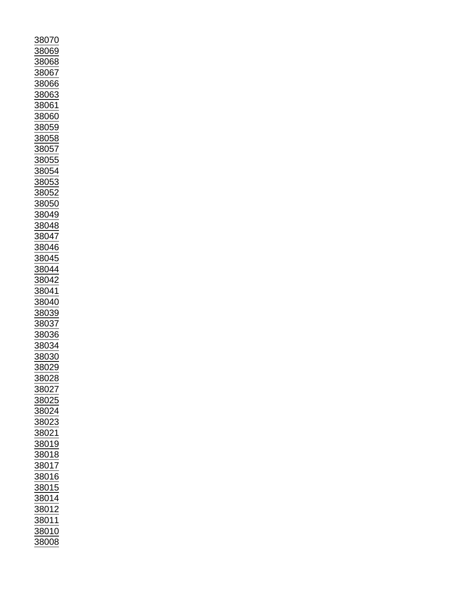| 38070                  |
|------------------------|
|                        |
|                        |
| 8069                   |
|                        |
|                        |
| 38068                  |
| <u>8067</u>            |
|                        |
|                        |
| 88066                  |
|                        |
| 38063                  |
|                        |
| 38061                  |
|                        |
| 88060                  |
|                        |
| 38059                  |
|                        |
| 88058                  |
|                        |
|                        |
| <u>88057</u>           |
|                        |
| 38055                  |
|                        |
| 3805                   |
|                        |
| <u>38053</u>           |
|                        |
| 38052                  |
|                        |
| 38050                  |
|                        |
| 38049                  |
|                        |
| 38048                  |
|                        |
| 88047                  |
|                        |
| 38046                  |
|                        |
| 3804<br>15             |
|                        |
| 38044                  |
|                        |
|                        |
| 38042                  |
|                        |
| 38041                  |
|                        |
| 38040                  |
|                        |
| 38039                  |
|                        |
| 38037                  |
|                        |
| 38036                  |
|                        |
| 38034                  |
|                        |
|                        |
|                        |
| 38030                  |
|                        |
| 802                    |
|                        |
| 88028                  |
|                        |
| 38027                  |
|                        |
| 38025                  |
|                        |
| 88024                  |
|                        |
| 38023                  |
|                        |
|                        |
| 88021                  |
| 38019                  |
|                        |
| 38018                  |
|                        |
|                        |
| 38017                  |
|                        |
| 38016                  |
|                        |
| 38015                  |
|                        |
| 38014                  |
|                        |
| <u>38012</u>           |
|                        |
| 3801 <sup>-</sup><br>1 |
|                        |
| 38010                  |
| 38008                  |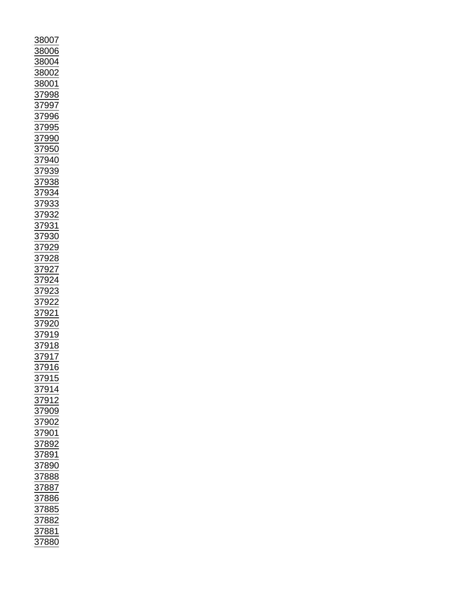| 8007                                                                                                                                                                                                                          |
|-------------------------------------------------------------------------------------------------------------------------------------------------------------------------------------------------------------------------------|
| 88006                                                                                                                                                                                                                         |
|                                                                                                                                                                                                                               |
| $\frac{88004}{88002}$                                                                                                                                                                                                         |
|                                                                                                                                                                                                                               |
|                                                                                                                                                                                                                               |
| 88001                                                                                                                                                                                                                         |
|                                                                                                                                                                                                                               |
|                                                                                                                                                                                                                               |
|                                                                                                                                                                                                                               |
|                                                                                                                                                                                                                               |
|                                                                                                                                                                                                                               |
|                                                                                                                                                                                                                               |
|                                                                                                                                                                                                                               |
|                                                                                                                                                                                                                               |
|                                                                                                                                                                                                                               |
|                                                                                                                                                                                                                               |
|                                                                                                                                                                                                                               |
|                                                                                                                                                                                                                               |
|                                                                                                                                                                                                                               |
|                                                                                                                                                                                                                               |
|                                                                                                                                                                                                                               |
|                                                                                                                                                                                                                               |
|                                                                                                                                                                                                                               |
|                                                                                                                                                                                                                               |
|                                                                                                                                                                                                                               |
|                                                                                                                                                                                                                               |
|                                                                                                                                                                                                                               |
|                                                                                                                                                                                                                               |
|                                                                                                                                                                                                                               |
|                                                                                                                                                                                                                               |
|                                                                                                                                                                                                                               |
| 37998<br>37995<br>37995<br>37995<br>37990<br>37939<br>37933<br>37933<br>37933<br>37933<br>37933<br>37932<br>37928<br>37922<br>37922<br>37922<br>37922<br>37922<br>37922<br>37922<br>37922<br>37922<br>37922<br>37922<br>37922 |
| <u>92</u><br>$\frac{37}{2}$                                                                                                                                                                                                   |
|                                                                                                                                                                                                                               |
| 37921<br>37920<br>37919<br>37918                                                                                                                                                                                              |
|                                                                                                                                                                                                                               |
|                                                                                                                                                                                                                               |
|                                                                                                                                                                                                                               |
|                                                                                                                                                                                                                               |
| $\overline{917}$<br>$\overline{\mathbf{37}}$                                                                                                                                                                                  |
| $\frac{916}{ }$<br>$\frac{1}{2}$                                                                                                                                                                                              |
|                                                                                                                                                                                                                               |
| 37915                                                                                                                                                                                                                         |
| 37914<br>37912                                                                                                                                                                                                                |
|                                                                                                                                                                                                                               |
|                                                                                                                                                                                                                               |
| <u>37909</u>                                                                                                                                                                                                                  |
|                                                                                                                                                                                                                               |
|                                                                                                                                                                                                                               |
|                                                                                                                                                                                                                               |
|                                                                                                                                                                                                                               |
| 37902<br>37901<br>37892<br>37891                                                                                                                                                                                              |
|                                                                                                                                                                                                                               |
| $\frac{1}{37890}$<br>$\frac{37888}{17887}$                                                                                                                                                                                    |
|                                                                                                                                                                                                                               |
|                                                                                                                                                                                                                               |
|                                                                                                                                                                                                                               |
| 37887<br>37886                                                                                                                                                                                                                |
| 37885                                                                                                                                                                                                                         |
| $\frac{37882}{27}$                                                                                                                                                                                                            |
|                                                                                                                                                                                                                               |
| 37881                                                                                                                                                                                                                         |
| 37880                                                                                                                                                                                                                         |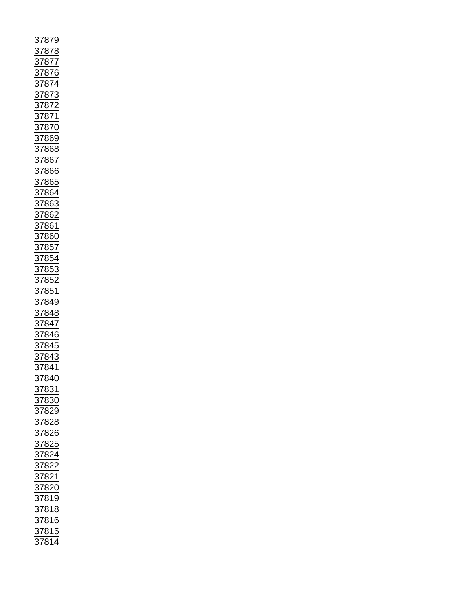| $\overline{\mathbf{37}}$<br>'87<br>$\overline{9}$                                                                                                                                                                                                                                            |
|----------------------------------------------------------------------------------------------------------------------------------------------------------------------------------------------------------------------------------------------------------------------------------------------|
|                                                                                                                                                                                                                                                                                              |
|                                                                                                                                                                                                                                                                                              |
|                                                                                                                                                                                                                                                                                              |
|                                                                                                                                                                                                                                                                                              |
|                                                                                                                                                                                                                                                                                              |
|                                                                                                                                                                                                                                                                                              |
|                                                                                                                                                                                                                                                                                              |
|                                                                                                                                                                                                                                                                                              |
|                                                                                                                                                                                                                                                                                              |
|                                                                                                                                                                                                                                                                                              |
|                                                                                                                                                                                                                                                                                              |
|                                                                                                                                                                                                                                                                                              |
|                                                                                                                                                                                                                                                                                              |
|                                                                                                                                                                                                                                                                                              |
|                                                                                                                                                                                                                                                                                              |
|                                                                                                                                                                                                                                                                                              |
|                                                                                                                                                                                                                                                                                              |
|                                                                                                                                                                                                                                                                                              |
|                                                                                                                                                                                                                                                                                              |
|                                                                                                                                                                                                                                                                                              |
|                                                                                                                                                                                                                                                                                              |
|                                                                                                                                                                                                                                                                                              |
|                                                                                                                                                                                                                                                                                              |
|                                                                                                                                                                                                                                                                                              |
|                                                                                                                                                                                                                                                                                              |
|                                                                                                                                                                                                                                                                                              |
|                                                                                                                                                                                                                                                                                              |
|                                                                                                                                                                                                                                                                                              |
|                                                                                                                                                                                                                                                                                              |
|                                                                                                                                                                                                                                                                                              |
|                                                                                                                                                                                                                                                                                              |
|                                                                                                                                                                                                                                                                                              |
|                                                                                                                                                                                                                                                                                              |
|                                                                                                                                                                                                                                                                                              |
|                                                                                                                                                                                                                                                                                              |
|                                                                                                                                                                                                                                                                                              |
| 37878<br>37876<br>37876<br>37876<br>37873<br>37872<br>37872<br>37866<br>37866<br>37866<br>37866<br>37866<br>37866<br>37866<br>37866<br>37866<br>37866<br>37866<br>37866<br>37866<br>37866<br>37866<br>37866<br>37866<br>37866<br>37866<br>37866<br>37866<br>37866<br>37866<br>37865<br>37865 |
|                                                                                                                                                                                                                                                                                              |
|                                                                                                                                                                                                                                                                                              |
|                                                                                                                                                                                                                                                                                              |
| <u>37841</u>                                                                                                                                                                                                                                                                                 |
|                                                                                                                                                                                                                                                                                              |
|                                                                                                                                                                                                                                                                                              |
|                                                                                                                                                                                                                                                                                              |
|                                                                                                                                                                                                                                                                                              |
|                                                                                                                                                                                                                                                                                              |
|                                                                                                                                                                                                                                                                                              |
|                                                                                                                                                                                                                                                                                              |
|                                                                                                                                                                                                                                                                                              |
|                                                                                                                                                                                                                                                                                              |
|                                                                                                                                                                                                                                                                                              |
|                                                                                                                                                                                                                                                                                              |
|                                                                                                                                                                                                                                                                                              |
|                                                                                                                                                                                                                                                                                              |
|                                                                                                                                                                                                                                                                                              |
|                                                                                                                                                                                                                                                                                              |
|                                                                                                                                                                                                                                                                                              |
|                                                                                                                                                                                                                                                                                              |
|                                                                                                                                                                                                                                                                                              |
| 37840<br>37831<br>37830<br>37828<br>37828<br>37822<br>37822<br>37822<br>37822<br>37818<br>37816<br>37816<br>37816                                                                                                                                                                            |
|                                                                                                                                                                                                                                                                                              |
|                                                                                                                                                                                                                                                                                              |
|                                                                                                                                                                                                                                                                                              |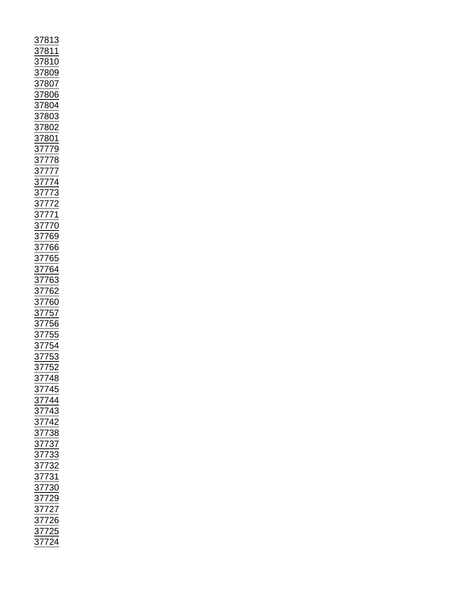| 37813<br>37819 37806 37806 37807 37813 37814 37810 37800 37800 37800 37800 37800 37800 37800 37800 37800 37800 37777 37777 37777 37777 37777 37777 37777 37777 37776 3776 55 4780 3780 3780 3780 37777 37777 37776 3776 3776 3775 |  |
|-----------------------------------------------------------------------------------------------------------------------------------------------------------------------------------------------------------------------------------|--|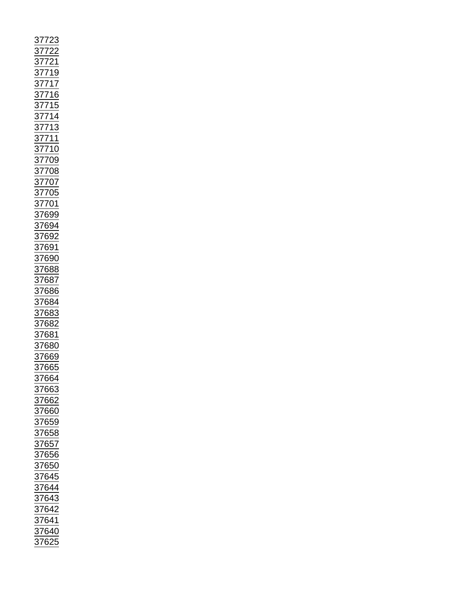|  |                                          | 37722<br>37721<br>37719<br>37715<br>37715<br>37714<br>377113<br>377110<br>377109<br>377008<br>377009<br>377009<br>377009<br>37699<br>37699<br>37688<br>37688<br>37688<br>37688<br>37688<br>37688 |
|--|------------------------------------------|--------------------------------------------------------------------------------------------------------------------------------------------------------------------------------------------------|
|  |                                          |                                                                                                                                                                                                  |
|  |                                          |                                                                                                                                                                                                  |
|  |                                          |                                                                                                                                                                                                  |
|  |                                          |                                                                                                                                                                                                  |
|  |                                          |                                                                                                                                                                                                  |
|  |                                          |                                                                                                                                                                                                  |
|  |                                          |                                                                                                                                                                                                  |
|  |                                          |                                                                                                                                                                                                  |
|  |                                          |                                                                                                                                                                                                  |
|  |                                          |                                                                                                                                                                                                  |
|  |                                          |                                                                                                                                                                                                  |
|  |                                          |                                                                                                                                                                                                  |
|  |                                          |                                                                                                                                                                                                  |
|  |                                          |                                                                                                                                                                                                  |
|  |                                          |                                                                                                                                                                                                  |
|  |                                          |                                                                                                                                                                                                  |
|  |                                          |                                                                                                                                                                                                  |
|  |                                          |                                                                                                                                                                                                  |
|  |                                          |                                                                                                                                                                                                  |
|  |                                          |                                                                                                                                                                                                  |
|  | 37664                                    |                                                                                                                                                                                                  |
|  |                                          |                                                                                                                                                                                                  |
|  | $\frac{1}{37663}$                        |                                                                                                                                                                                                  |
|  | 37662                                    |                                                                                                                                                                                                  |
|  |                                          |                                                                                                                                                                                                  |
|  | 37660                                    |                                                                                                                                                                                                  |
|  |                                          |                                                                                                                                                                                                  |
|  | 37659                                    |                                                                                                                                                                                                  |
|  | $\frac{1}{37658}$<br>$\frac{37657}{152}$ |                                                                                                                                                                                                  |
|  |                                          |                                                                                                                                                                                                  |
|  |                                          |                                                                                                                                                                                                  |
|  | $\frac{2}{37656}$                        |                                                                                                                                                                                                  |
|  |                                          |                                                                                                                                                                                                  |
|  | $\frac{37650}{7545}$                     |                                                                                                                                                                                                  |
|  | $\frac{37645}{37644}$                    |                                                                                                                                                                                                  |
|  |                                          |                                                                                                                                                                                                  |
|  |                                          |                                                                                                                                                                                                  |
|  | 37643                                    |                                                                                                                                                                                                  |
|  |                                          |                                                                                                                                                                                                  |
|  |                                          |                                                                                                                                                                                                  |
|  | <u>37642</u><br>37641<br>37641<br>37625  |                                                                                                                                                                                                  |
|  |                                          |                                                                                                                                                                                                  |
|  |                                          |                                                                                                                                                                                                  |
|  |                                          |                                                                                                                                                                                                  |
|  |                                          |                                                                                                                                                                                                  |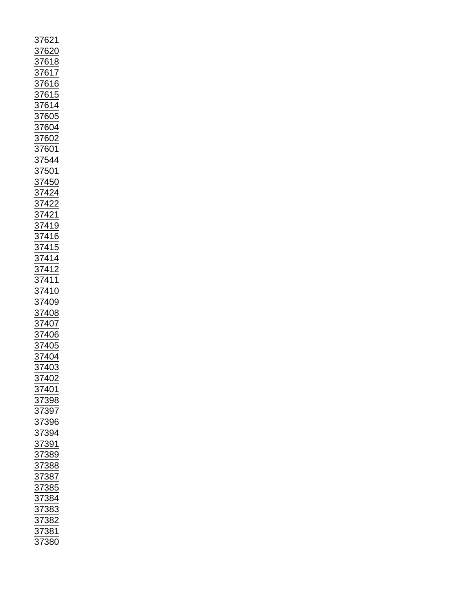| 37621                                                                                                                                                                                                      |
|------------------------------------------------------------------------------------------------------------------------------------------------------------------------------------------------------------|
|                                                                                                                                                                                                            |
|                                                                                                                                                                                                            |
|                                                                                                                                                                                                            |
|                                                                                                                                                                                                            |
|                                                                                                                                                                                                            |
|                                                                                                                                                                                                            |
|                                                                                                                                                                                                            |
|                                                                                                                                                                                                            |
|                                                                                                                                                                                                            |
|                                                                                                                                                                                                            |
|                                                                                                                                                                                                            |
|                                                                                                                                                                                                            |
| <u>37620<br/>37618 37614 37614 37616 37604</u><br>37615 37604 37604 37602 37602 37614 37422<br>37422 37422 37422 37422 37422 37422 37422 37415 37415 37415 37415 37416 37408 37408 37408 37408 37404 37402 |
|                                                                                                                                                                                                            |
|                                                                                                                                                                                                            |
|                                                                                                                                                                                                            |
|                                                                                                                                                                                                            |
|                                                                                                                                                                                                            |
|                                                                                                                                                                                                            |
|                                                                                                                                                                                                            |
|                                                                                                                                                                                                            |
|                                                                                                                                                                                                            |
|                                                                                                                                                                                                            |
|                                                                                                                                                                                                            |
|                                                                                                                                                                                                            |
|                                                                                                                                                                                                            |
|                                                                                                                                                                                                            |
|                                                                                                                                                                                                            |
|                                                                                                                                                                                                            |
|                                                                                                                                                                                                            |
|                                                                                                                                                                                                            |
|                                                                                                                                                                                                            |
|                                                                                                                                                                                                            |
|                                                                                                                                                                                                            |
|                                                                                                                                                                                                            |
|                                                                                                                                                                                                            |
|                                                                                                                                                                                                            |
| $\overline{\frac{37}{}}$<br>403                                                                                                                                                                            |
| 40 <sub>2</sub><br>$\frac{37}{2}$                                                                                                                                                                          |
| $\frac{1}{37401}$                                                                                                                                                                                          |
| 398                                                                                                                                                                                                        |
| $\frac{37}{2}$                                                                                                                                                                                             |
| $\frac{1}{37}$<br>$\frac{397}{2}$                                                                                                                                                                          |
| $\frac{396}{2}$                                                                                                                                                                                            |
| $\frac{1}{94}$<br>$\frac{37}{27}$                                                                                                                                                                          |
| $\frac{1}{91}$                                                                                                                                                                                             |
|                                                                                                                                                                                                            |
| $\frac{37}{37}$<br>389                                                                                                                                                                                     |
| 888                                                                                                                                                                                                        |
| 387<br>385                                                                                                                                                                                                 |
|                                                                                                                                                                                                            |
| $\frac{1}{37}$<br>$\frac{37}{37}$                                                                                                                                                                          |
| $\frac{884}{5}$                                                                                                                                                                                            |
| $\frac{1}{883}$                                                                                                                                                                                            |
| $\frac{882}{5}$                                                                                                                                                                                            |
| $\frac{2}{381}$                                                                                                                                                                                            |
| $\frac{1}{2}$                                                                                                                                                                                              |
| 37<br>380                                                                                                                                                                                                  |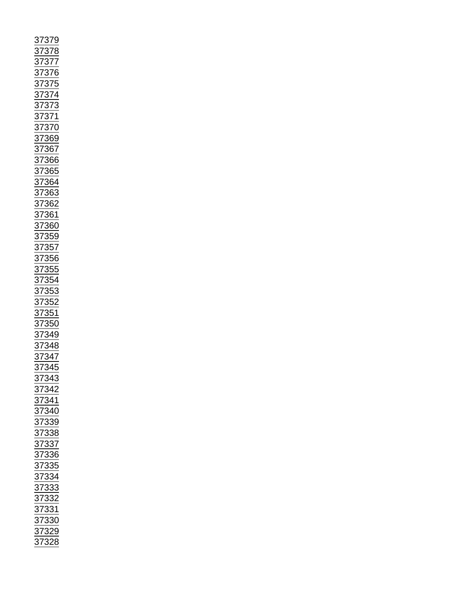| 379 877 66 376 976 976 976 977 68 976 978 978 978 977 68 976 977 68 98 976 976 977 68 98 976 977 68 976 977 68 976 977 68 976 977 68 977 68 977 68 977 68 977 68 977 68 977 68 977 68 977 68 977 68 977 68 977 68 977 68 977 6 |
|--------------------------------------------------------------------------------------------------------------------------------------------------------------------------------------------------------------------------------|
|                                                                                                                                                                                                                                |
|                                                                                                                                                                                                                                |
|                                                                                                                                                                                                                                |
|                                                                                                                                                                                                                                |
|                                                                                                                                                                                                                                |
|                                                                                                                                                                                                                                |
|                                                                                                                                                                                                                                |
|                                                                                                                                                                                                                                |
|                                                                                                                                                                                                                                |
|                                                                                                                                                                                                                                |
|                                                                                                                                                                                                                                |
|                                                                                                                                                                                                                                |
|                                                                                                                                                                                                                                |
|                                                                                                                                                                                                                                |
|                                                                                                                                                                                                                                |
|                                                                                                                                                                                                                                |
|                                                                                                                                                                                                                                |
|                                                                                                                                                                                                                                |
|                                                                                                                                                                                                                                |
|                                                                                                                                                                                                                                |
|                                                                                                                                                                                                                                |
|                                                                                                                                                                                                                                |
|                                                                                                                                                                                                                                |
|                                                                                                                                                                                                                                |
|                                                                                                                                                                                                                                |
|                                                                                                                                                                                                                                |
|                                                                                                                                                                                                                                |
| 37345<br>37343<br>37342<br>37344<br>37344<br>37338<br>37338<br>37338<br>37333<br>37333<br>37333<br>37333<br>37333<br>37333<br>37333                                                                                            |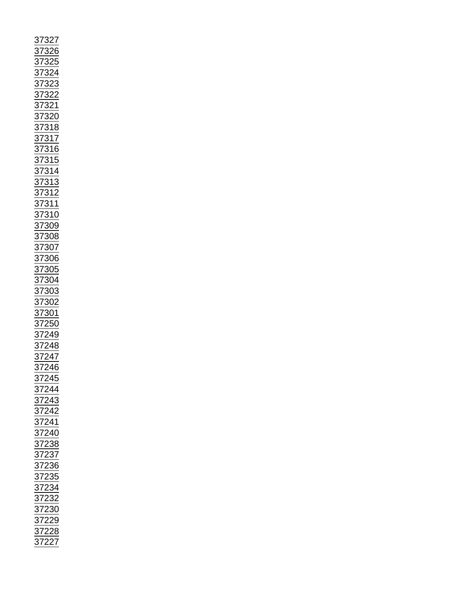| 37327<br>37325<br>37325<br>373221<br>373221<br>373221<br>373221<br>373221<br>373221<br>373110<br>373111<br>373111<br>373110<br>373006<br>373006<br>373006<br>373006<br>373000<br>373000<br>373000<br>373000<br>373000<br>373000<br>373000<br>373000<br>373000<br>3730244<br>372244<br>372244<br>372244<br>372244<br>372244<br> |  |  |  |
|--------------------------------------------------------------------------------------------------------------------------------------------------------------------------------------------------------------------------------------------------------------------------------------------------------------------------------|--|--|--|
|                                                                                                                                                                                                                                                                                                                                |  |  |  |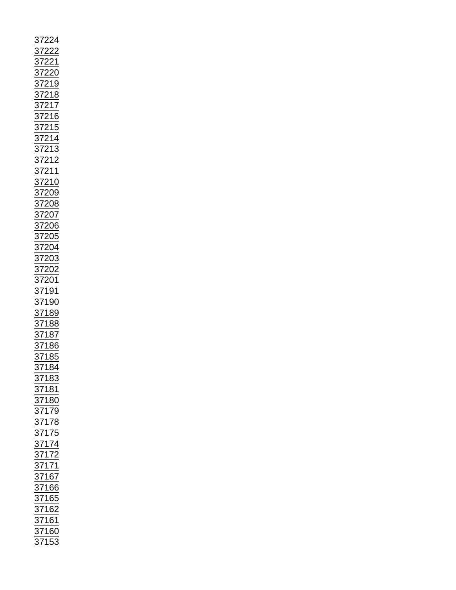|                                                                                                                                                                                    |                                    |  | 4             |  |
|------------------------------------------------------------------------------------------------------------------------------------------------------------------------------------|------------------------------------|--|---------------|--|
|                                                                                                                                                                                    | $\frac{37}{7}$                     |  |               |  |
|                                                                                                                                                                                    |                                    |  | $\frac{2}{1}$ |  |
|                                                                                                                                                                                    |                                    |  |               |  |
|                                                                                                                                                                                    |                                    |  |               |  |
|                                                                                                                                                                                    | $\frac{37}{27}$<br>$\frac{37}{27}$ |  |               |  |
|                                                                                                                                                                                    |                                    |  |               |  |
|                                                                                                                                                                                    |                                    |  |               |  |
|                                                                                                                                                                                    |                                    |  |               |  |
|                                                                                                                                                                                    |                                    |  |               |  |
|                                                                                                                                                                                    |                                    |  |               |  |
|                                                                                                                                                                                    |                                    |  |               |  |
|                                                                                                                                                                                    |                                    |  |               |  |
|                                                                                                                                                                                    |                                    |  |               |  |
|                                                                                                                                                                                    |                                    |  |               |  |
|                                                                                                                                                                                    |                                    |  |               |  |
|                                                                                                                                                                                    |                                    |  |               |  |
|                                                                                                                                                                                    |                                    |  |               |  |
|                                                                                                                                                                                    |                                    |  |               |  |
|                                                                                                                                                                                    |                                    |  |               |  |
|                                                                                                                                                                                    |                                    |  |               |  |
|                                                                                                                                                                                    |                                    |  |               |  |
|                                                                                                                                                                                    |                                    |  |               |  |
|                                                                                                                                                                                    |                                    |  |               |  |
|                                                                                                                                                                                    |                                    |  |               |  |
|                                                                                                                                                                                    |                                    |  |               |  |
|                                                                                                                                                                                    |                                    |  |               |  |
|                                                                                                                                                                                    |                                    |  |               |  |
|                                                                                                                                                                                    |                                    |  |               |  |
|                                                                                                                                                                                    |                                    |  |               |  |
|                                                                                                                                                                                    |                                    |  |               |  |
|                                                                                                                                                                                    |                                    |  |               |  |
|                                                                                                                                                                                    |                                    |  |               |  |
|                                                                                                                                                                                    |                                    |  |               |  |
|                                                                                                                                                                                    |                                    |  |               |  |
|                                                                                                                                                                                    |                                    |  |               |  |
|                                                                                                                                                                                    |                                    |  |               |  |
|                                                                                                                                                                                    |                                    |  |               |  |
|                                                                                                                                                                                    |                                    |  |               |  |
|                                                                                                                                                                                    |                                    |  |               |  |
|                                                                                                                                                                                    |                                    |  |               |  |
|                                                                                                                                                                                    |                                    |  |               |  |
|                                                                                                                                                                                    |                                    |  |               |  |
|                                                                                                                                                                                    |                                    |  |               |  |
|                                                                                                                                                                                    |                                    |  |               |  |
|                                                                                                                                                                                    |                                    |  |               |  |
|                                                                                                                                                                                    |                                    |  |               |  |
|                                                                                                                                                                                    |                                    |  |               |  |
|                                                                                                                                                                                    |                                    |  |               |  |
| 012218<br>372218<br>37218<br>37217 37214<br>37213<br>37213<br>37212 37208<br>37200 37200 37200 37200 37200 37200 37200 37200 37200 37200 37200 37200 37200 37180 37180 37180 37188 |                                    |  | 184           |  |
|                                                                                                                                                                                    | $\frac{37}{2}$                     |  |               |  |
|                                                                                                                                                                                    |                                    |  |               |  |
|                                                                                                                                                                                    |                                    |  |               |  |
|                                                                                                                                                                                    |                                    |  |               |  |
|                                                                                                                                                                                    |                                    |  |               |  |
|                                                                                                                                                                                    |                                    |  |               |  |
|                                                                                                                                                                                    |                                    |  |               |  |
|                                                                                                                                                                                    |                                    |  |               |  |
|                                                                                                                                                                                    |                                    |  |               |  |
|                                                                                                                                                                                    |                                    |  |               |  |
|                                                                                                                                                                                    |                                    |  |               |  |
|                                                                                                                                                                                    |                                    |  |               |  |
|                                                                                                                                                                                    |                                    |  |               |  |
|                                                                                                                                                                                    |                                    |  |               |  |
|                                                                                                                                                                                    |                                    |  |               |  |
|                                                                                                                                                                                    |                                    |  |               |  |
|                                                                                                                                                                                    |                                    |  |               |  |
|                                                                                                                                                                                    |                                    |  |               |  |
|                                                                                                                                                                                    |                                    |  |               |  |
|                                                                                                                                                                                    |                                    |  |               |  |
|                                                                                                                                                                                    |                                    |  |               |  |
|                                                                                                                                                                                    |                                    |  |               |  |
|                                                                                                                                                                                    |                                    |  |               |  |
| 37183<br>37183<br>37180<br>37179<br>37178<br>37175<br>37172<br>37172<br>37162<br>37162<br>37162<br>37162<br>37162                                                                  |                                    |  |               |  |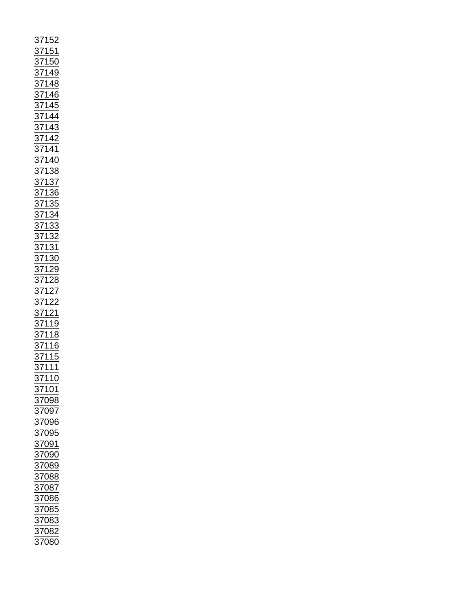| 37152<br>37150<br>37150<br>37150<br>371446<br>371445<br>371442<br>371442<br>371442<br>37136<br>37136<br>37133<br>37133<br>37132<br>37122<br>37122<br>37122<br>37122<br>37122<br>37132<br>37132<br>37132<br>37132<br>37132<br>37132<br>37132<br>37132<br>37122 |                   |
|---------------------------------------------------------------------------------------------------------------------------------------------------------------------------------------------------------------------------------------------------------------|-------------------|
|                                                                                                                                                                                                                                                               | $\frac{37110}{ }$ |
|                                                                                                                                                                                                                                                               |                   |
| 37101                                                                                                                                                                                                                                                         |                   |
| 37098                                                                                                                                                                                                                                                         |                   |
|                                                                                                                                                                                                                                                               |                   |
|                                                                                                                                                                                                                                                               | 37097             |
|                                                                                                                                                                                                                                                               |                   |
|                                                                                                                                                                                                                                                               | 37096             |
|                                                                                                                                                                                                                                                               |                   |
| 37095                                                                                                                                                                                                                                                         |                   |
|                                                                                                                                                                                                                                                               |                   |
| 37091                                                                                                                                                                                                                                                         |                   |
|                                                                                                                                                                                                                                                               |                   |
| 37090                                                                                                                                                                                                                                                         |                   |
|                                                                                                                                                                                                                                                               |                   |
| 37089                                                                                                                                                                                                                                                         |                   |
|                                                                                                                                                                                                                                                               |                   |
| 37088                                                                                                                                                                                                                                                         |                   |
| <u>37087</u>                                                                                                                                                                                                                                                  |                   |
|                                                                                                                                                                                                                                                               |                   |
| 37086                                                                                                                                                                                                                                                         |                   |
|                                                                                                                                                                                                                                                               |                   |
| 37085                                                                                                                                                                                                                                                         |                   |
|                                                                                                                                                                                                                                                               |                   |
|                                                                                                                                                                                                                                                               |                   |
|                                                                                                                                                                                                                                                               |                   |
| 37083<br>37082<br>37080                                                                                                                                                                                                                                       |                   |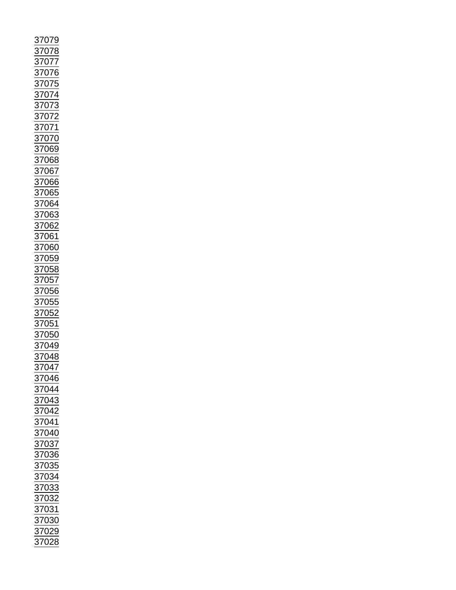| 07<br>9<br>$\overline{7}$                                                                                         |
|-------------------------------------------------------------------------------------------------------------------|
|                                                                                                                   |
| $\frac{3707}{2}$                                                                                                  |
|                                                                                                                   |
| 37077<br>37076<br>37075<br>37074                                                                                  |
|                                                                                                                   |
|                                                                                                                   |
|                                                                                                                   |
|                                                                                                                   |
|                                                                                                                   |
|                                                                                                                   |
|                                                                                                                   |
|                                                                                                                   |
|                                                                                                                   |
|                                                                                                                   |
|                                                                                                                   |
|                                                                                                                   |
| 37074<br>37073<br>37072<br>37071<br>37070<br>37069                                                                |
|                                                                                                                   |
|                                                                                                                   |
|                                                                                                                   |
|                                                                                                                   |
|                                                                                                                   |
|                                                                                                                   |
|                                                                                                                   |
|                                                                                                                   |
|                                                                                                                   |
|                                                                                                                   |
|                                                                                                                   |
|                                                                                                                   |
|                                                                                                                   |
|                                                                                                                   |
|                                                                                                                   |
|                                                                                                                   |
| 37068<br>37066<br>37066<br>37064<br>37063<br>37062<br>37060<br>37060<br>37059<br>37058<br>37058<br>37058<br>37058 |
|                                                                                                                   |
|                                                                                                                   |
|                                                                                                                   |
|                                                                                                                   |
| $\frac{1}{37055}$                                                                                                 |
|                                                                                                                   |
|                                                                                                                   |
| $\frac{37052}{37051}$ $\frac{37051}{37050}$                                                                       |
|                                                                                                                   |
|                                                                                                                   |
| 37049<br>37048<br>$\underline{049}$                                                                               |
|                                                                                                                   |
|                                                                                                                   |
| $\frac{1}{37047}$                                                                                                 |
|                                                                                                                   |
| 37046                                                                                                             |
|                                                                                                                   |
| 37044                                                                                                             |
| $\frac{1}{37043}$                                                                                                 |
|                                                                                                                   |
| $\frac{1}{37042}$                                                                                                 |
| 37041                                                                                                             |
|                                                                                                                   |
| 37040                                                                                                             |
| $\frac{1}{37037}$<br>$\frac{37036}{5}$                                                                            |
|                                                                                                                   |
|                                                                                                                   |
|                                                                                                                   |
| 37035                                                                                                             |
|                                                                                                                   |
|                                                                                                                   |
| $\frac{1}{37034}$                                                                                                 |
|                                                                                                                   |
|                                                                                                                   |
| $\frac{2}{37033}$<br>37032                                                                                        |
|                                                                                                                   |
| $\frac{1}{37031}$                                                                                                 |
| 37030                                                                                                             |
|                                                                                                                   |
| 37029<br>37028                                                                                                    |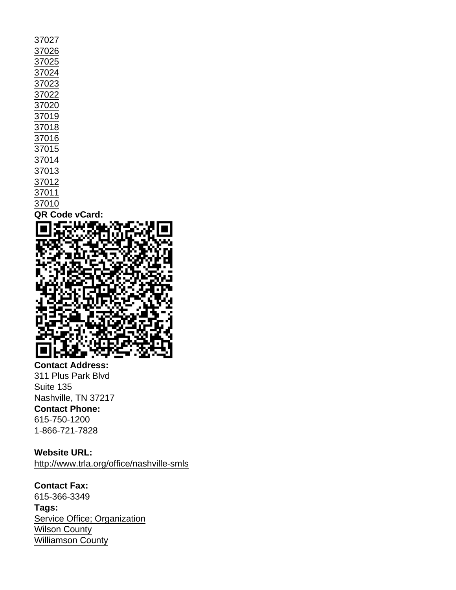| 37027          |
|----------------|
| 37026          |
| 37025          |
| 37024          |
| 37023          |
| 37022          |
| 37020          |
| 37019          |
| 37018          |
| 37016          |
| 37015          |
| 37014          |
| 37013          |
| 37012          |
| 37011          |
| 37010          |
| QR Code vCard: |
|                |

Contact Address: 311 Plus Park Blvd Suite 135 Nashville, TN 37217 Contact Phone: 615-750-1200 1-866-721-7828

Website URL: <http://www.trla.org/office/nashville-smls>

Contact Fax: 615-366-3349 Tags: [Service Office; Organization](https://www.tals.org/taxonomy/term/1207) [Wilson County](https://www.tals.org/taxonomy/term/158) [Williamson County](https://www.tals.org/taxonomy/term/157)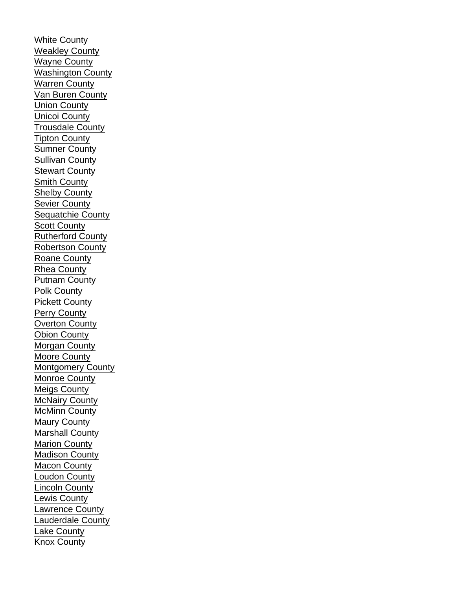[White County](https://www.tals.org/taxonomy/term/156) [Weakley County](https://www.tals.org/taxonomy/term/155) [Wayne County](https://www.tals.org/taxonomy/term/154) [Washington County](https://www.tals.org/taxonomy/term/153) [Warren County](https://www.tals.org/taxonomy/term/152) [Van Buren County](https://www.tals.org/taxonomy/term/151) [Union County](https://www.tals.org/taxonomy/term/150) [Unicoi County](https://www.tals.org/taxonomy/term/149) [Trousdale County](https://www.tals.org/taxonomy/term/148) [Tipton County](https://www.tals.org/taxonomy/term/147) [Sumner County](https://www.tals.org/taxonomy/term/146) [Sullivan County](https://www.tals.org/taxonomy/term/145) [Stewart County](https://www.tals.org/taxonomy/term/144) [Smith County](https://www.tals.org/taxonomy/term/143) [Shelby County](https://www.tals.org/taxonomy/term/142) [Sevier County](https://www.tals.org/taxonomy/term/141) [Sequatchie County](https://www.tals.org/taxonomy/term/140) [Scott County](https://www.tals.org/taxonomy/term/139) [Rutherford County](https://www.tals.org/taxonomy/term/138) [Robertson County](https://www.tals.org/taxonomy/term/137) [Roane County](https://www.tals.org/taxonomy/term/136) [Rhea County](https://www.tals.org/taxonomy/term/135) [Putnam County](https://www.tals.org/taxonomy/term/134) [Polk County](https://www.tals.org/taxonomy/term/133) [Pickett County](https://www.tals.org/taxonomy/term/132) [Perry County](https://www.tals.org/taxonomy/term/131) [Overton County](https://www.tals.org/taxonomy/term/130) [Obion County](https://www.tals.org/taxonomy/term/129) [Morgan County](https://www.tals.org/taxonomy/term/128) [Moore County](https://www.tals.org/taxonomy/term/127) [Montgomery County](https://www.tals.org/taxonomy/term/126) [Monroe County](https://www.tals.org/taxonomy/term/125) [Meigs County](https://www.tals.org/taxonomy/term/124) [McNairy County](https://www.tals.org/taxonomy/term/123) [McMinn County](https://www.tals.org/taxonomy/term/122) [Maury County](https://www.tals.org/taxonomy/term/121) [Marshall County](https://www.tals.org/taxonomy/term/120) [Marion County](https://www.tals.org/taxonomy/term/119) [Madison County](https://www.tals.org/taxonomy/term/118) [Macon County](https://www.tals.org/taxonomy/term/117) [Loudon County](https://www.tals.org/taxonomy/term/116) [Lincoln County](https://www.tals.org/taxonomy/term/115) [Lewis County](https://www.tals.org/taxonomy/term/114) [Lawrence County](https://www.tals.org/taxonomy/term/113) [Lauderdale County](https://www.tals.org/taxonomy/term/112) [Lake County](https://www.tals.org/taxonomy/term/111) [Knox County](https://www.tals.org/taxonomy/term/110)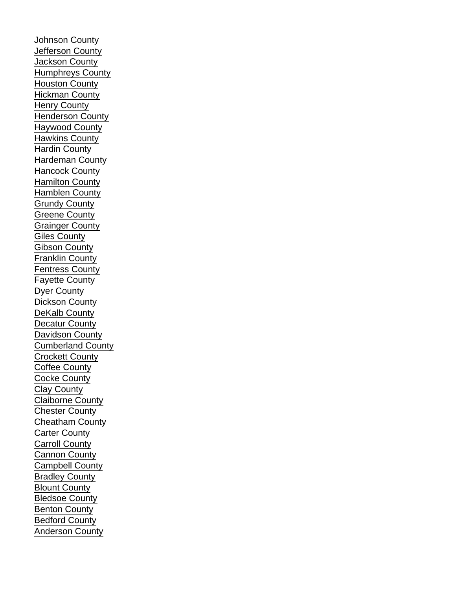[Johnson County](https://www.tals.org/taxonomy/term/109) [Jefferson County](https://www.tals.org/taxonomy/term/108) [Jackson County](https://www.tals.org/taxonomy/term/107) [Humphreys County](https://www.tals.org/taxonomy/term/106) [Houston County](https://www.tals.org/taxonomy/term/105) [Hickman County](https://www.tals.org/taxonomy/term/104) [Henry County](https://www.tals.org/taxonomy/term/103) [Henderson County](https://www.tals.org/taxonomy/term/102) [Haywood County](https://www.tals.org/taxonomy/term/101) [Hawkins County](https://www.tals.org/taxonomy/term/100) [Hardin County](https://www.tals.org/taxonomy/term/99) [Hardeman County](https://www.tals.org/taxonomy/term/98) [Hancock County](https://www.tals.org/taxonomy/term/97) [Hamilton County](https://www.tals.org/taxonomy/term/96) [Hamblen County](https://www.tals.org/taxonomy/term/95) [Grundy County](https://www.tals.org/taxonomy/term/94) [Greene County](https://www.tals.org/taxonomy/term/93) [Grainger County](https://www.tals.org/taxonomy/term/92) [Giles County](https://www.tals.org/taxonomy/term/91) [Gibson County](https://www.tals.org/taxonomy/term/90) [Franklin County](https://www.tals.org/taxonomy/term/89) [Fentress County](https://www.tals.org/taxonomy/term/88) [Fayette County](https://www.tals.org/taxonomy/term/87) [Dyer County](https://www.tals.org/taxonomy/term/86) [Dickson County](https://www.tals.org/taxonomy/term/85) [DeKalb County](https://www.tals.org/taxonomy/term/84) [Decatur County](https://www.tals.org/taxonomy/term/83) [Davidson County](https://www.tals.org/taxonomy/term/82) [Cumberland County](https://www.tals.org/taxonomy/term/81) [Crockett County](https://www.tals.org/taxonomy/term/80) [Coffee County](https://www.tals.org/taxonomy/term/79) [Cocke County](https://www.tals.org/taxonomy/term/78) [Clay County](https://www.tals.org/taxonomy/term/77) [Claiborne County](https://www.tals.org/taxonomy/term/76) [Chester County](https://www.tals.org/taxonomy/term/75) [Cheatham County](https://www.tals.org/taxonomy/term/74) [Carter County](https://www.tals.org/taxonomy/term/73) [Carroll County](https://www.tals.org/taxonomy/term/72) [Cannon County](https://www.tals.org/taxonomy/term/71) [Campbell County](https://www.tals.org/taxonomy/term/70) [Bradley County](https://www.tals.org/taxonomy/term/69) [Blount County](https://www.tals.org/taxonomy/term/68) [Bledsoe County](https://www.tals.org/taxonomy/term/67) [Benton County](https://www.tals.org/taxonomy/term/66) [Bedford County](https://www.tals.org/taxonomy/term/65) [Anderson County](https://www.tals.org/taxonomy/term/64)